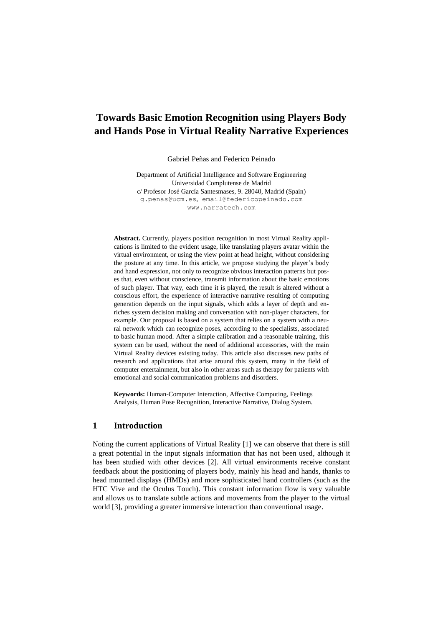# **Towards Basic Emotion Recognition using Players Body and Hands Pose in Virtual Reality Narrative Experiences**

Gabriel Peñas and Federico Peinado

Department of Artificial Intelligence and Software Engineering Universidad Complutense de Madrid c/ Profesor José García Santesmases, 9. 28040, Madrid (Spain) g.penas@ucm.es, [email@federicopeinado.com](mailto:email@federicopeinado.com) www.narratech.com

**Abstract.** Currently, players position recognition in most Virtual Reality applications is limited to the evident usage, like translating players avatar within the virtual environment, or using the view point at head height, without considering the posture at any time. In this article, we propose studying the player's body and hand expression, not only to recognize obvious interaction patterns but poses that, even without conscience, transmit information about the basic emotions of such player. That way, each time it is played, the result is altered without a conscious effort, the experience of interactive narrative resulting of computing generation depends on the input signals, which adds a layer of depth and enriches system decision making and conversation with non-player characters, for example. Our proposal is based on a system that relies on a system with a neural network which can recognize poses, according to the specialists, associated to basic human mood. After a simple calibration and a reasonable training, this system can be used, without the need of additional accessories, with the main Virtual Reality devices existing today. This article also discusses new paths of research and applications that arise around this system, many in the field of computer entertainment, but also in other areas such as therapy for patients with emotional and social communication problems and disorders.

**Keywords:** Human-Computer Interaction, Affective Computing, Feelings Analysis, Human Pose Recognition, Interactive Narrative, Dialog System.

#### **1 Introduction**

Noting the current applications of Virtual Reality [1] we can observe that there is still a great potential in the input signals information that has not been used, although it has been studied with other devices [2]. All virtual environments receive constant feedback about the positioning of players body, mainly his head and hands, thanks to head mounted displays (HMDs) and more sophisticated hand controllers (such as the HTC Vive and the Oculus Touch). This constant information flow is very valuable and allows us to translate subtle actions and movements from the player to the virtual world [3], providing a greater immersive interaction than conventional usage.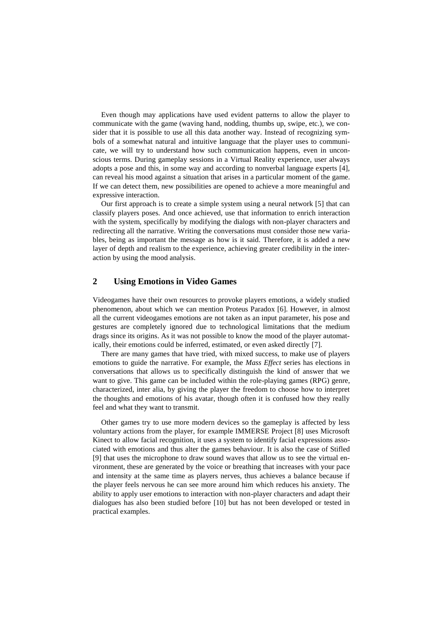Even though may applications have used evident patterns to allow the player to communicate with the game (waving hand, nodding, thumbs up, swipe, etc.), we consider that it is possible to use all this data another way. Instead of recognizing symbols of a somewhat natural and intuitive language that the player uses to communicate, we will try to understand how such communication happens, even in unconscious terms. During gameplay sessions in a Virtual Reality experience, user always adopts a pose and this, in some way and according to nonverbal language experts [4], can reveal his mood against a situation that arises in a particular moment of the game. If we can detect them, new possibilities are opened to achieve a more meaningful and expressive interaction.

Our first approach is to create a simple system using a neural network [5] that can classify players poses. And once achieved, use that information to enrich interaction with the system, specifically by modifying the dialogs with non-player characters and redirecting all the narrative. Writing the conversations must consider those new variables, being as important the message as how is it said. Therefore, it is added a new layer of depth and realism to the experience, achieving greater credibility in the interaction by using the mood analysis.

## **2 Using Emotions in Video Games**

Videogames have their own resources to provoke players emotions, a widely studied phenomenon, about which we can mention Proteus Paradox [6]. However, in almost all the current videogames emotions are not taken as an input parameter, his pose and gestures are completely ignored due to technological limitations that the medium drags since its origins. As it was not possible to know the mood of the player automatically, their emotions could be inferred, estimated, or even asked directly [7].

There are many games that have tried, with mixed success, to make use of players emotions to guide the narrative. For example, the *Mass Effect* series has elections in conversations that allows us to specifically distinguish the kind of answer that we want to give. This game can be included within the role-playing games (RPG) genre, characterized, inter alia, by giving the player the freedom to choose how to interpret the thoughts and emotions of his avatar, though often it is confused how they really feel and what they want to transmit.

Other games try to use more modern devices so the gameplay is affected by less voluntary actions from the player, for example IMMERSE Project [8] uses Microsoft Kinect to allow facial recognition, it uses a system to identify facial expressions associated with emotions and thus alter the games behaviour. It is also the case of Stifled [9] that uses the microphone to draw sound waves that allow us to see the virtual environment, these are generated by the voice or breathing that increases with your pace and intensity at the same time as players nerves, thus achieves a balance because if the player feels nervous he can see more around him which reduces his anxiety. The ability to apply user emotions to interaction with non-player characters and adapt their dialogues has also been studied before [10] but has not been developed or tested in practical examples.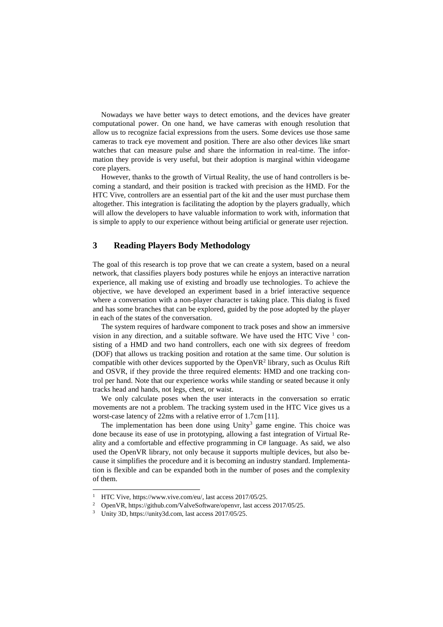Nowadays we have better ways to detect emotions, and the devices have greater computational power. On one hand, we have cameras with enough resolution that allow us to recognize facial expressions from the users. Some devices use those same cameras to track eye movement and position. There are also other devices like smart watches that can measure pulse and share the information in real-time. The information they provide is very useful, but their adoption is marginal within videogame core players.

However, thanks to the growth of Virtual Reality, the use of hand controllers is becoming a standard, and their position is tracked with precision as the HMD. For the HTC Vive, controllers are an essential part of the kit and the user must purchase them altogether. This integration is facilitating the adoption by the players gradually, which will allow the developers to have valuable information to work with, information that is simple to apply to our experience without being artificial or generate user rejection.

### **3 Reading Players Body Methodology**

The goal of this research is top prove that we can create a system, based on a neural network, that classifies players body postures while he enjoys an interactive narration experience, all making use of existing and broadly use technologies. To achieve the objective, we have developed an experiment based in a brief interactive sequence where a conversation with a non-player character is taking place. This dialog is fixed and has some branches that can be explored, guided by the pose adopted by the player in each of the states of the conversation.

The system requires of hardware component to track poses and show an immersive vision in any direction, and a suitable software. We have used the HTC Vive  $1$  consisting of a HMD and two hand controllers, each one with six degrees of freedom (DOF) that allows us tracking position and rotation at the same time. Our solution is compatible with other devices supported by the OpenVR 2 library, such as Oculus Rift and OSVR, if they provide the three required elements: HMD and one tracking control per hand. Note that our experience works while standing or seated because it only tracks head and hands, not legs, chest, or waist.

We only calculate poses when the user interacts in the conversation so erratic movements are not a problem. The tracking system used in the HTC Vice gives us a worst-case latency of 22ms with a relative error of 1.7cm [11].

The implementation has been done using  $Unity<sup>3</sup>$  game engine. This choice was done because its ease of use in prototyping, allowing a fast integration of Virtual Reality and a comfortable and effective programming in C# language. As said, we also used the OpenVR library, not only because it supports multiple devices, but also because it simplifies the procedure and it is becoming an industry standard. Implementation is flexible and can be expanded both in the number of poses and the complexity of them.

 $\overline{a}$ 

<sup>&</sup>lt;sup>1</sup> HTC Vive[, https://www.vive.com/eu/,](https://www.vive.com/eu/) last access 2017/05/25.

<sup>&</sup>lt;sup>2</sup> OpenVR, https://github.com/ValveSoftware/openvr, last access 2017/05/25.

<sup>3</sup> Unity 3D, https://unity3d.com, last access 2017/05/25.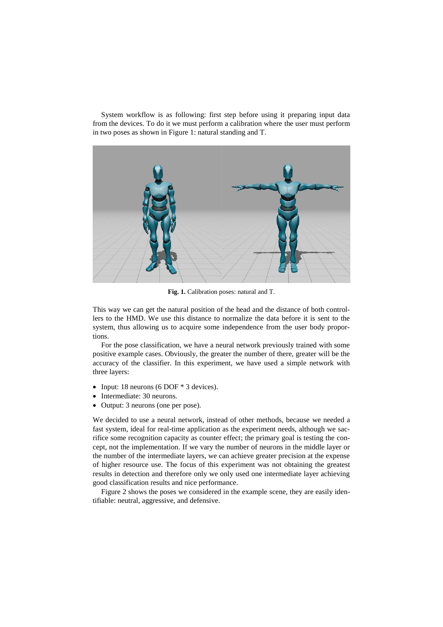System workflow is as following: first step before using it preparing input data from the devices. To do it we must perform a calibration where the user must perform in two poses as shown in Figure 1: natural standing and T.



**Fig. 1.** Calibration poses: natural and T.

This way we can get the natural position of the head and the distance of both controllers to the HMD. We use this distance to normalize the data before it is sent to the system, thus allowing us to acquire some independence from the user body proportions.

For the pose classification, we have a neural network previously trained with some positive example cases. Obviously, the greater the number of there, greater will be the accuracy of the classifier. In this experiment, we have used a simple network with three layers:

- Input: 18 neurons (6 DOF  $*$  3 devices).
- Intermediate: 30 neurons.
- Output: 3 neurons (one per pose).

We decided to use a neural network, instead of other methods, because we needed a fast system, ideal for real-time application as the experiment needs, although we sacrifice some recognition capacity as counter effect; the primary goal is testing the concept, not the implementation. If we vary the number of neurons in the middle layer or the number of the intermediate layers, we can achieve greater precision at the expense of higher resource use. The focus of this experiment was not obtaining the greatest results in detection and therefore only we only used one intermediate layer achieving good classification results and nice performance.

Figure 2 shows the poses we considered in the example scene, they are easily identifiable: neutral, aggressive, and defensive.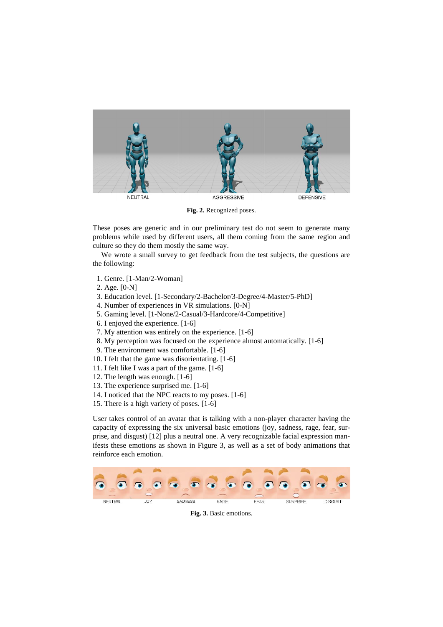

**Fig. 2.** Recognized poses.

These poses are generic and in our preliminary test do not seem to generate many problems while used by different users, all them coming from the same region and culture so they do them mostly the same way.

We wrote a small survey to get feedback from the test subjects, the questions are the following:

- 1. Genre. [1-Man/2-Woman]
- 2. Age. [0-N]
- 3. Education level. [1-Secondary/2-Bachelor/3-Degree/4-Master/5-PhD]
- 4. Number of experiences in VR simulations. [0-N]
- 5. Gaming level. [1-None/2-Casual/3-Hardcore/4-Competitive]
- 6. I enjoyed the experience. [1-6]
- 7. My attention was entirely on the experience. [1-6]
- 8. My perception was focused on the experience almost automatically. [1-6]
- 9. The environment was comfortable. [1-6]
- 10. I felt that the game was disorientating. [1-6]
- 11. I felt like I was a part of the game. [1-6]
- 12. The length was enough. [1-6]
- 13. The experience surprised me. [1-6]
- 14. I noticed that the NPC reacts to my poses. [1-6]
- 15. There is a high variety of poses. [1-6]

User takes control of an avatar that is talking with a non-player character having the capacity of expressing the six universal basic emotions (joy, sadness, rage, fear, surprise, and disgust) [12] plus a neutral one. A very recognizable facial expression manifests these emotions as shown in Figure 3, as well as a set of body animations that reinforce each emotion.



**Fig. 3.** Basic emotions.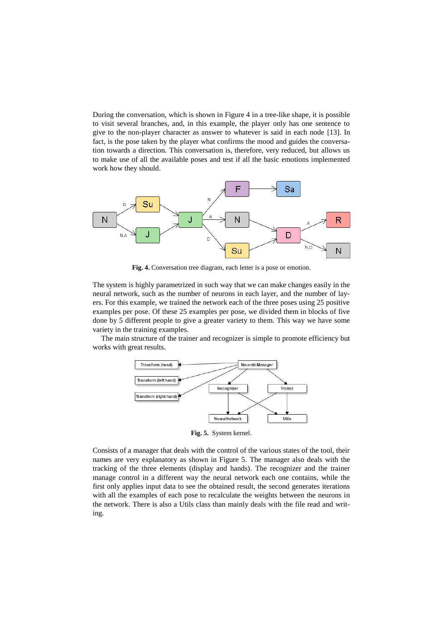During the conversation, which is shown in Figure 4 in a tree-like shape, it is possible to visit several branches, and, in this example, the player only has one sentence to give to the non-player character as answer to whatever is said in each node [13]. In fact, is the pose taken by the player what confirms the mood and guides the conversation towards a direction. This conversation is, therefore, very reduced, but allows us to make use of all the available poses and test if all the basic emotions implemented work how they should.



**Fig. 4.** Conversation tree diagram, each letter is a pose or emotion.

The system is highly parametrized in such way that we can make changes easily in the neural network, such as the number of neurons in each layer, and the number of layers. For this example, we trained the network each of the three poses using 25 positive examples per pose. Of these 25 examples per pose, we divided them in blocks of five done by 5 different people to give a greater variety to them. This way we have some variety in the training examples.

The main structure of the trainer and recognizer is simple to promote efficiency but works with great results.



**Fig. 5.** System kernel.

Consists of a manager that deals with the control of the various states of the tool, their names are very explanatory as shown in Figure 5. The manager also deals with the tracking of the three elements (display and hands). The recognizer and the trainer manage control in a different way the neural network each one contains, while the first only applies input data to see the obtained result, the second generates iterations with all the examples of each pose to recalculate the weights between the neurons in the network. There is also a Utils class than mainly deals with the file read and writing.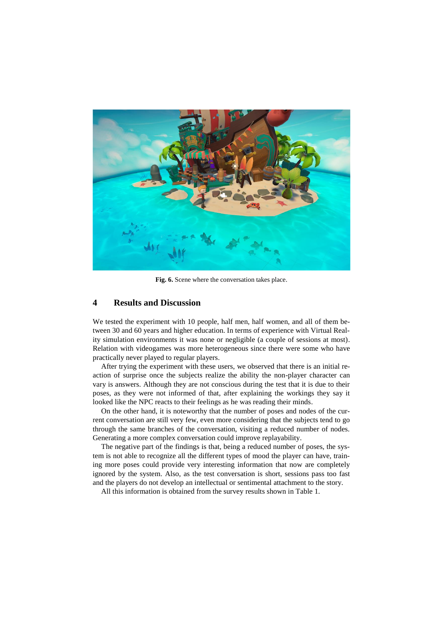

**Fig. 6.** Scene where the conversation takes place.

#### **4 Results and Discussion**

We tested the experiment with 10 people, half men, half women, and all of them between 30 and 60 years and higher education. In terms of experience with Virtual Reality simulation environments it was none or negligible (a couple of sessions at most). Relation with videogames was more heterogeneous since there were some who have practically never played to regular players.

After trying the experiment with these users, we observed that there is an initial reaction of surprise once the subjects realize the ability the non-player character can vary is answers. Although they are not conscious during the test that it is due to their poses, as they were not informed of that, after explaining the workings they say it looked like the NPC reacts to their feelings as he was reading their minds.

On the other hand, it is noteworthy that the number of poses and nodes of the current conversation are still very few, even more considering that the subjects tend to go through the same branches of the conversation, visiting a reduced number of nodes. Generating a more complex conversation could improve replayability.

The negative part of the findings is that, being a reduced number of poses, the system is not able to recognize all the different types of mood the player can have, training more poses could provide very interesting information that now are completely ignored by the system. Also, as the test conversation is short, sessions pass too fast and the players do not develop an intellectual or sentimental attachment to the story.

All this information is obtained from the survey results shown in Table 1.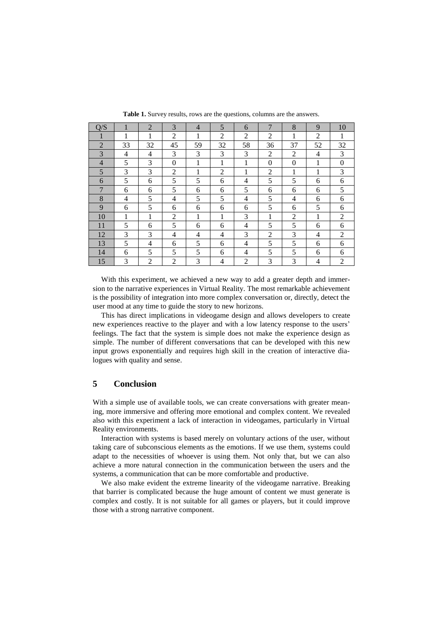| Q/S            |    | $\overline{2}$ | 3              | $\overline{4}$ | 5              | 6              | $\overline{7}$ | 8              | 9  | 10             |
|----------------|----|----------------|----------------|----------------|----------------|----------------|----------------|----------------|----|----------------|
|                | 1  | 1              | 2              | 1              | $\overline{2}$ | 2              | 2              | 1              | 2  | 1              |
| $\overline{2}$ | 33 | 32             | 45             | 59             | 32             | 58             | 36             | 37             | 52 | 32             |
| 3              | 4  | 4              | 3              | 3              | 3              | 3              | 2              | $\overline{2}$ | 4  | 3              |
| $\overline{4}$ | 5  | 3              | $\overline{0}$ | 1              | 1              | $\mathbf{1}$   | $\Omega$       | $\overline{0}$ | 1  | $\overline{0}$ |
| 5              | 3  | 3              | $\overline{2}$ | 1              | $\overline{2}$ | 1              | 2              | 1              | 1  | 3              |
| 6              | 5  | 6              | 5              | 5              | 6              | 4              | 5              | 5              | 6  | 6              |
| 7              | 6  | 6              | 5              | 6              | 6              | 5              | 6              | 6              | 6  | 5              |
| 8              | 4  | 5              | 4              | 5              | 5              | 4              | 5              | 4              | 6  | 6              |
| 9              | 6  | 5              | 6              | 6              | 6              | 6              | 5              | 6              | 5  | 6              |
| 10             | 1  | 1              | $\overline{2}$ | 1              | 1              | 3              | 1              | 2              | 1  | 2              |
| 11             | 5  | 6              | 5              | 6              | 6              | 4              | 5              | 5              | 6  | 6              |
| 12             | 3  | 3              | 4              | 4              | 4              | 3              | 2              | 3              | 4  | 2              |
| 13             | 5  | 4              | 6              | 5              | 6              | 4              | 5              | 5              | 6  | 6              |
| 14             | 6  | 5              | 5              | 5              | 6              | 4              | 5              | 5              | 6  | 6              |
| 15             | 3  | $\overline{2}$ | $\overline{2}$ | 3              | 4              | $\overline{2}$ | 3              | 3              | 4  | 2              |

**Table 1.** Survey results, rows are the questions, columns are the answers.

With this experiment, we achieved a new way to add a greater depth and immersion to the narrative experiences in Virtual Reality. The most remarkable achievement is the possibility of integration into more complex conversation or, directly, detect the user mood at any time to guide the story to new horizons.

This has direct implications in videogame design and allows developers to create new experiences reactive to the player and with a low latency response to the users' feelings. The fact that the system is simple does not make the experience design as simple. The number of different conversations that can be developed with this new input grows exponentially and requires high skill in the creation of interactive dialogues with quality and sense.

## **5 Conclusion**

With a simple use of available tools, we can create conversations with greater meaning, more immersive and offering more emotional and complex content. We revealed also with this experiment a lack of interaction in videogames, particularly in Virtual Reality environments.

Interaction with systems is based merely on voluntary actions of the user, without taking care of subconscious elements as the emotions. If we use them, systems could adapt to the necessities of whoever is using them. Not only that, but we can also achieve a more natural connection in the communication between the users and the systems, a communication that can be more comfortable and productive.

We also make evident the extreme linearity of the videogame narrative. Breaking that barrier is complicated because the huge amount of content we must generate is complex and costly. It is not suitable for all games or players, but it could improve those with a strong narrative component.